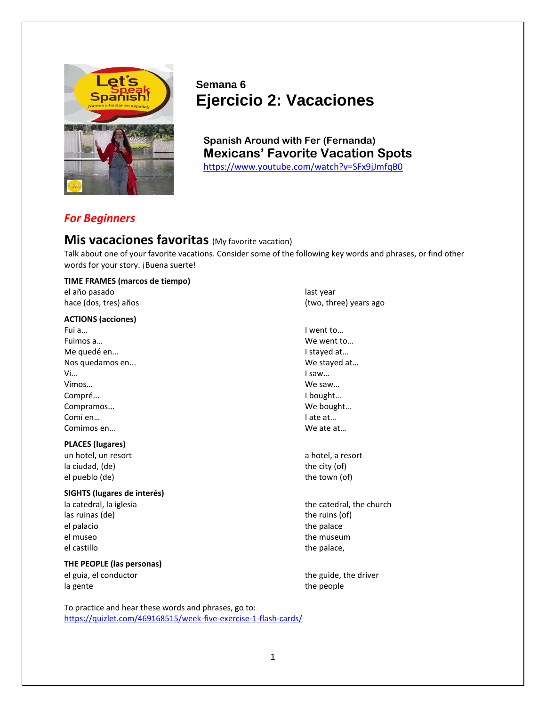

# **Semana 6 Ejercicio 2: Vacaciones**

**Spanish Around with Fer (Fernanda) Mexicans' Favorite Vacation Spots** <https://www.youtube.com/watch?v=SFx9jJmfqB0>

## *For Beginners*

## **Mis vacaciones favoritas** (My favorite vacation)

Talk about one of your favorite vacations. Consider some of the following key words and phrases, or find other words for your story. ¡Buena suerte!

#### **TIME FRAMES (marcos de tiempo)**

el año pasado last year de last year de last year de last year de last year de last year de last year de last year

#### **ACTIONS (acciones)**

Fui a… I went to… Fuimos a… We went to… Me quedé en... Intervention of the stayed at the stayed at the stayed at the stayed at the stayed at the stayed at the stayed at the stayed at the stayed at the stayed at the stayed at the stayed at the stayed at the staye Nos quedamos en... entrarrow and the stayed at the We stayed at the West and West and West and West and West and West and West and West and West and West and West and West and West and West and West and West and West and W Vi… I saw… Vimos… We saw… Compré... I bought… Compramos... We bought… Comí en… I ate at… Comimos en… We ate at…

#### **PLACES (lugares)**

un hotel, un resort a hotel, a resort a hotel, a resort a hotel, a resort la ciudad, (de) the city (of) el pueblo (de) the town (of) the town (of) the town (of)

#### **SIGHTS (lugares de interés)**

las ruinas (de) the ruins (of) the ruins (of) el palacio del terminale del palace del terminale del terminale del terminale del terminale del terminale del terminale del terminale del terminale del terminale del terminale del terminale del terminale del terminale del el museo the museum the museum el castillo question and the palace, the palace, the palace, the palace, the palace, the palace of the palace,

### **THE PEOPLE (las personas)**

la gente the people that the people the people

hace (dos, tres) años (two, three) years ago

la catedral, la iglesia the catedral, the church

el guía, el conductor the guide, the driver

To practice and hear these words and phrases, go to: <https://quizlet.com/469168515/week-five-exercise-1-flash-cards/>